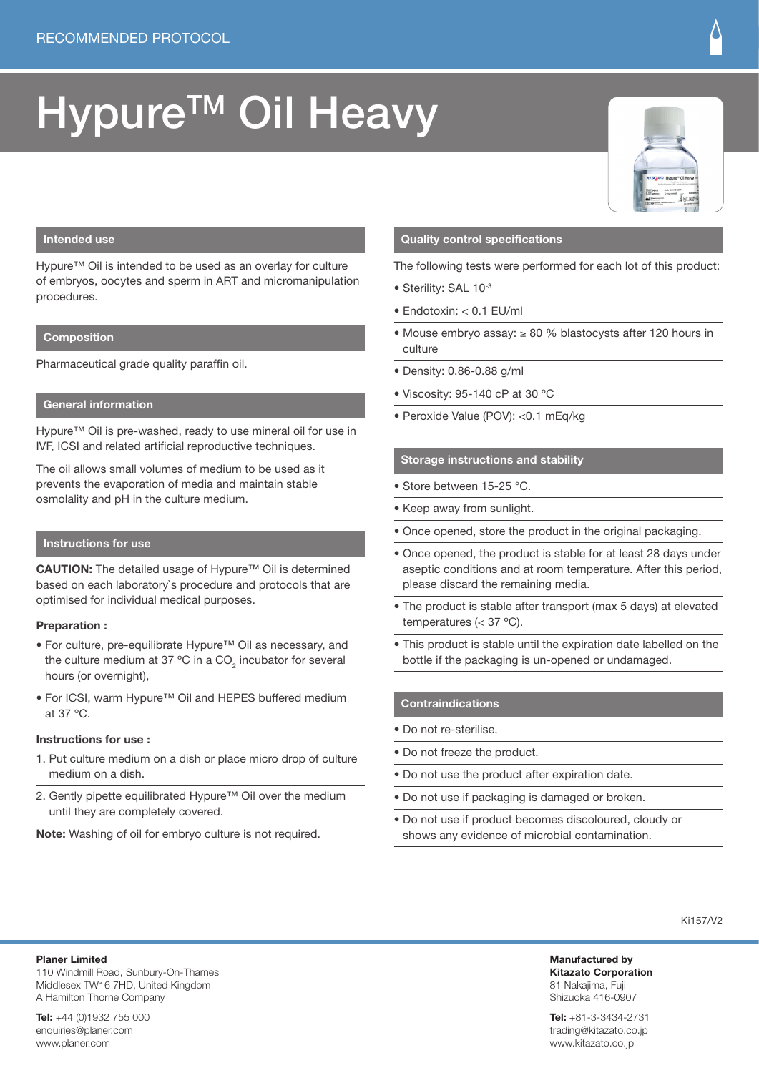# Hypure<sup>™</sup> Oil Heavy



## **Intended use**

Hypure™ Oil is intended to be used as an overlay for culture of embryos, oocytes and sperm in ART and micromanipulation procedures.

# **Composition**

Pharmaceutical grade quality paraffin oil.

# **General information**

Hypure™ Oil is pre-washed, ready to use mineral oil for use in IVF, ICSI and related artificial reproductive techniques.

The oil allows small volumes of medium to be used as it prevents the evaporation of media and maintain stable osmolality and pH in the culture medium.

## **Instructions for use**

**CAUTION:** The detailed usage of Hypure™ Oil is determined based on each laboratory`s procedure and protocols that are optimised for individual medical purposes.

## **Preparation :**

- For culture, pre-equilibrate Hypure™ Oil as necessary, and the culture medium at 37 °C in a CO<sub>2</sub> incubator for several hours (or overnight),
- For ICSI, warm Hypure™ Oil and HEPES buffered medium at 37 ºC.

#### **Instructions for use :**

- 1. Put culture medium on a dish or place micro drop of culture medium on a dish.
- 2. Gently pipette equilibrated Hypure™ Oil over the medium until they are completely covered.

**Note:** Washing of oil for embryo culture is not required.

# **Quality control specifications**

The following tests were performed for each lot of this product:

- Sterility: SAL 10-3
- Endotoxin: < 0.1 EU/ml
- Mouse embryo assay: ≥ 80 % blastocysts after 120 hours in culture
- Density: 0.86-0.88 g/ml
- Viscosity: 95-140 cP at 30 ºC
- Peroxide Value (POV): <0.1 mEq/kg

# **Storage instructions and stability**

- Store between 15-25 °C.
- Keep away from sunlight.
- Once opened, store the product in the original packaging.
- Once opened, the product is stable for at least 28 days under aseptic conditions and at room temperature. After this period, please discard the remaining media.
- The product is stable after transport (max 5 days) at elevated temperatures (< 37 ºC).
- This product is stable until the expiration date labelled on the bottle if the packaging is un-opened or undamaged.

## **Contraindications**

- Do not re-sterilise.
- Do not freeze the product.
- Do not use the product after expiration date.
- Do not use if packaging is damaged or broken.
- Do not use if product becomes discoloured, cloudy or shows any evidence of microbial contamination.

Ki157/V2

**Manufactured by Kitazato Corporation** 81 Nakajima, Fuji Shizuoka 416-0907

**Tel:** +81-3-3434-2731 trading@kitazato.co.jp www.kitazato.co.jp

**Tel:** +44 (0)1932 755 000 enquiries@planer.com www.planer.com

A Hamilton Thorne Company

110 Windmill Road, Sunbury-On-Thames Middlesex TW16 7HD, United Kingdom

**Planer Limited**